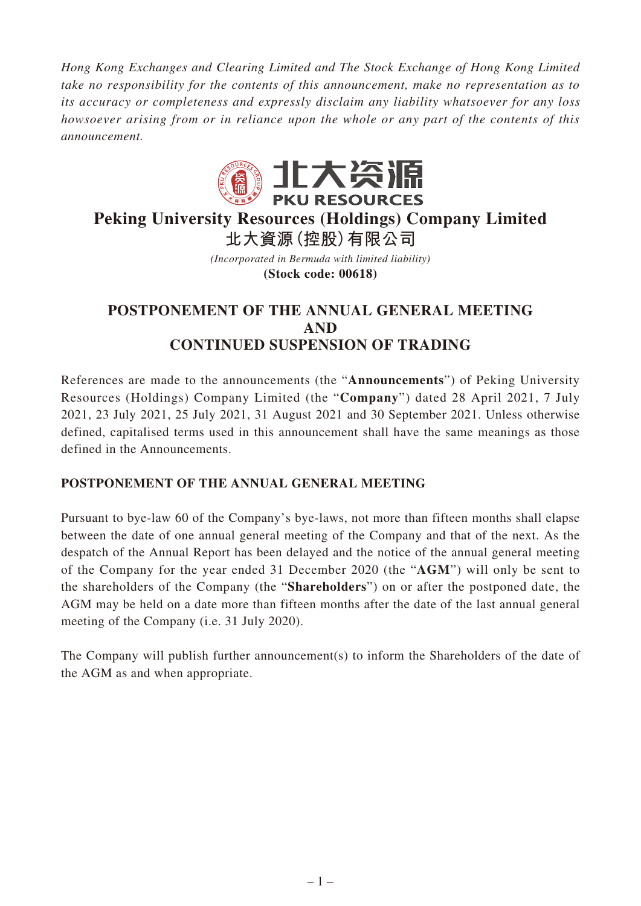*Hong Kong Exchanges and Clearing Limited and The Stock Exchange of Hong Kong Limited take no responsibility for the contents of this announcement, make no representation as to its accuracy or completeness and expressly disclaim any liability whatsoever for any loss howsoever arising from or in reliance upon the whole or any part of the contents of this announcement.*



# **Peking University Resources (Holdings) Company Limited 北大資源(控股)有限公司**

*(Incorporated in Bermuda with limited liability)* **(Stock code: 00618)**

## **POSTPONEMENT OF THE ANNUAL GENERAL MEETING AND CONTINUED SUSPENSION OF TRADING**

References are made to the announcements (the "**Announcements**") of Peking University Resources (Holdings) Company Limited (the "**Company**") dated 28 April 2021, 7 July 2021, 23 July 2021, 25 July 2021, 31 August 2021 and 30 September 2021. Unless otherwise defined, capitalised terms used in this announcement shall have the same meanings as those defined in the Announcements.

## **POSTPONEMENT OF THE ANNUAL GENERAL MEETING**

Pursuant to bye-law 60 of the Company's bye-laws, not more than fifteen months shall elapse between the date of one annual general meeting of the Company and that of the next. As the despatch of the Annual Report has been delayed and the notice of the annual general meeting of the Company for the year ended 31 December 2020 (the "**AGM**") will only be sent to the shareholders of the Company (the "**Shareholders**") on or after the postponed date, the AGM may be held on a date more than fifteen months after the date of the last annual general meeting of the Company (i.e. 31 July 2020).

The Company will publish further announcement(s) to inform the Shareholders of the date of the AGM as and when appropriate.